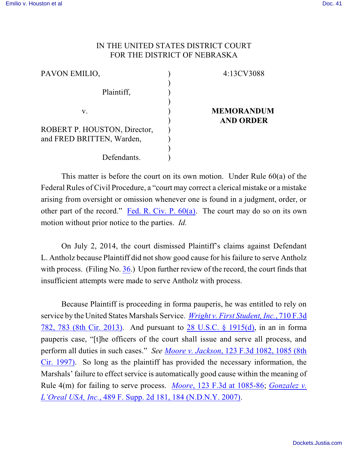## IN THE UNITED STATES DISTRICT COURT FOR THE DISTRICT OF NEBRASKA

| PAVON EMILIO,                | 4:13CV3088        |
|------------------------------|-------------------|
|                              |                   |
| Plaintiff,                   |                   |
|                              |                   |
| V.                           | <b>MEMORANDUM</b> |
|                              | <b>AND ORDER</b>  |
| ROBERT P. HOUSTON, Director, |                   |
| and FRED BRITTEN, Warden,    |                   |
|                              |                   |
| Defendants.                  |                   |

This matter is before the court on its own motion. Under Rule  $60(a)$  of the Federal Rules of Civil Procedure, a "court may correct a clerical mistake or a mistake arising from oversight or omission whenever one is found in a judgment, order, or other part of the record." Fed. R. Civ. P.  $60(a)$ . The court may do so on its own motion without prior notice to the parties. *Id.*

On July 2, 2014, the court dismissed Plaintiff's claims against Defendant L. Antholz because Plaintiff did not show good cause for his failure to serve Antholz with process. (Filing No. [36](https://ecf.ned.uscourts.gov/doc1/11313060670).) Upon further review of the record, the court finds that insufficient attempts were made to serve Antholz with process.

Because Plaintiff is proceeding in forma pauperis, he was entitled to rely on service by the United States Marshals Service. *Wright v. First [Student, Inc.](https://web2.westlaw.com/find/default.wl?%5F%5Fmud=y&db=0000506&findtype=Y&fn=%5Ftop&ft=Y&HistoryType=F&referenceposition=783&referencepositiontype=S&rp=%2Ffind%2Fdefault%2Ewl&rs=btil2%2E0&serialnum=2030208694&ssl=n&vr=2%2E0&wbtoolsId=2030208694)*, 710 F.3d [782, 783 \(8th](https://web2.westlaw.com/find/default.wl?%5F%5Fmud=y&db=0000506&findtype=Y&fn=%5Ftop&ft=Y&HistoryType=F&referenceposition=783&referencepositiontype=S&rp=%2Ffind%2Fdefault%2Ewl&rs=btil2%2E0&serialnum=2030208694&ssl=n&vr=2%2E0&wbtoolsId=2030208694) Cir. 2013). And pursuant to 28 [U.S.C. §](http://westlaw.com/find/default.wl?ft=L&docname=28USCAS1915&rs=btil2.0&rp=%2ffind%2fdefault.wl&fn=_top&findtype=L&vr=2.0&db=1000546&wbtoolsId=28USCAS1915&HistoryType=F) 1915(d), in an in forma pauperis case, "[t]he officers of the court shall issue and serve all process, and perform all duties in such cases." *See Moore v. Jackson*[, 123 F.3d 1082, 1085 \(8th](http://westlaw.com/find/default.wl?ft=Y&referencepositiontype=S&rs=btil2.0&rp=%2ffind%2fdefault.wl&serialnum=1997176240&fn=_top&referenceposition=1085&findtype=Y&vr=2.0&db=0000506&wbtoolsId=1997176240&HistoryType=F) [Cir. 1997\)](http://westlaw.com/find/default.wl?ft=Y&referencepositiontype=S&rs=btil2.0&rp=%2ffind%2fdefault.wl&serialnum=1997176240&fn=_top&referenceposition=1085&findtype=Y&vr=2.0&db=0000506&wbtoolsId=1997176240&HistoryType=F). So long as the plaintiff has provided the necessary information, the Marshals' failure to effect service is automatically good cause within the meaning of Rule 4(m) for failing to serve process. *Moore*, 123 F.3d at [1085-86](http://westlaw.com/find/default.wl?ft=Y&referencepositiontype=S&rs=btil2.0&rp=%2ffind%2fdefault.wl&serialnum=1997176240&fn=_top&referenceposition=1085&findtype=Y&vr=2.0&db=0000506&wbtoolsId=1997176240&HistoryType=F); *[Gonzalez](http://westlaw.com/find/default.wl?ft=Y&referencepositiontype=S&rs=btil2.0&rp=%2ffind%2fdefault.wl&serialnum=2012386902&fn=_top&referenceposition=184&findtype=Y&vr=2.0&db=0004637&wbtoolsId=2012386902&HistoryType=F) v. L'Oreal USA, Inc.*[, 489 F. Supp. 2d 181, 184 \(N.D.N.Y. 2007\)](http://westlaw.com/find/default.wl?ft=Y&referencepositiontype=S&rs=btil2.0&rp=%2ffind%2fdefault.wl&serialnum=2012386902&fn=_top&referenceposition=184&findtype=Y&vr=2.0&db=0004637&wbtoolsId=2012386902&HistoryType=F).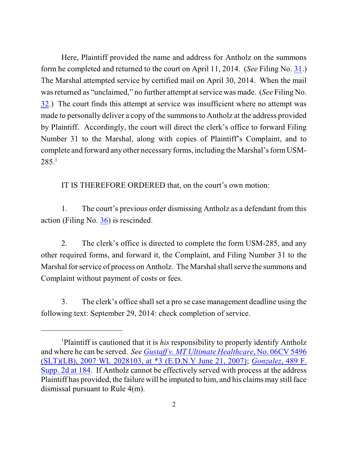Here, Plaintiff provided the name and address for Antholz on the summons form he completed and returned to the court on April 11, 2014. (*See* Filing No. [31](http://ecf.ned.uscourts.gov/doc1/11313004104).) The Marshal attempted service by certified mail on April 30, 2014. When the mail was returned as "unclaimed," no further attempt at service was made. (*See* Filing No. [32](http://ecf.ned.uscourts.gov/doc1/11313044024).) The court finds this attempt at service was insufficient where no attempt was made to personally deliver a copy of the summons to Antholz at the address provided by Plaintiff. Accordingly, the court will direct the clerk's office to forward Filing Number 31 to the Marshal, along with copies of Plaintiff's Complaint, and to complete and forward any other necessary forms, including the Marshal's formUSM- $285.<sup>1</sup>$ 

IT IS THEREFORE ORDERED that, on the court's own motion:

1. The court's previous order dismissing Antholz as a defendant from this action (Filing No. [36](https://ecf.ned.uscourts.gov/doc1/11313060670)) is rescinded.

2. The clerk's office is directed to complete the form USM-285, and any other required forms, and forward it, the Complaint, and Filing Number 31 to the Marshal for service of process on Antholz. The Marshal shall serve the summons and Complaint without payment of costs or fees.

3. The clerk's office shall set a pro se case management deadline using the following text: September 29, 2014: check completion of service.

<sup>&</sup>lt;sup>1</sup>Plaintiff is cautioned that it is *his* responsibility to properly identify Antholz and where he can be served. *See Gustaff [v. MT Ultimate Healthcare](http://westlaw.com/find/default.wl?ft=Y&referencepositiontype=S&rs=btil2.0&rp=%2ffind%2fdefault.wl&serialnum=2012711091&fn=_top&referenceposition=3&findtype=Y&vr=2.0&db=0000999&wbtoolsId=2012711091&HistoryType=F)*, No. 06CV 5496 (SLT)(LB), 2007 WL 2028103, at \*3 [\(E.D.N.Y June 21, 2007\)](http://westlaw.com/find/default.wl?ft=Y&referencepositiontype=S&rs=btil2.0&rp=%2ffind%2fdefault.wl&serialnum=2012711091&fn=_top&referenceposition=3&findtype=Y&vr=2.0&db=0000999&wbtoolsId=2012711091&HistoryType=F); *[Gonzalez](http://westlaw.com/find/default.wl?ft=Y&referencepositiontype=S&rs=btil2.0&rp=%2ffind%2fdefault.wl&serialnum=2012386902&fn=_top&referenceposition=184&findtype=Y&vr=2.0&db=0004637&wbtoolsId=2012386902&HistoryType=F)*, 489 F. [Supp. 2d](http://westlaw.com/find/default.wl?ft=Y&referencepositiontype=S&rs=btil2.0&rp=%2ffind%2fdefault.wl&serialnum=2012386902&fn=_top&referenceposition=184&findtype=Y&vr=2.0&db=0004637&wbtoolsId=2012386902&HistoryType=F) at 184. If Antholz cannot be effectively served with process at the address Plaintiff has provided, the failure will be imputed to him, and his claims may still face dismissal pursuant to Rule 4(m).